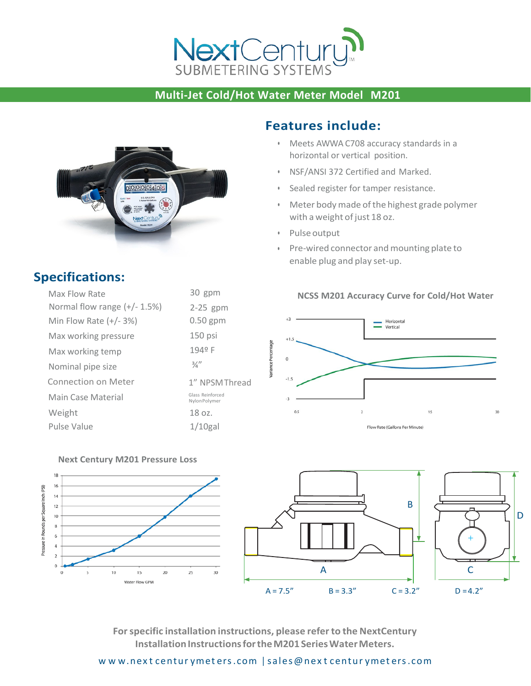

## **Multi-Jet Cold/Hot Water Meter Model M201**



## **Features include:**

- Meets AWWA C708 accuracy standards in a horizontal or vertical position.
- NSF/ANSI 372 Certified and Marked.
- Sealed register for tamper resistance.
- Meter bodymade ofthe highest grade polymer with a weight of just 18 oz.
- Pulseoutput
- Pre-wired connector and mounting plate to enable plug and play set-up.

## **NCSS M201 Accuracy Curve for Cold/Hot Water**







**Forspecific installation instructions, please referto the NextCentury Installation Instructions for the M201 Series Water Meters.** 

## **Specifications:**

| Max Flow Rate                | 30 gpm                            |
|------------------------------|-----------------------------------|
| Normal flow range (+/- 1.5%) | $2-25$ gpm                        |
| Min Flow Rate $(+/- 3%)$     | $0.50$ gpm                        |
| Max working pressure         | 150 psi                           |
| Max working temp             | 194º F                            |
| Nominal pipe size            | $\frac{3}{4}$                     |
| Connection on Meter          | 1" NPSMThread                     |
| Main Case Material           | Glass Reinforced<br>Nylon Polymer |
| Weight                       | 18 oz.                            |
| Pulse Value                  | $1/10$ gal                        |